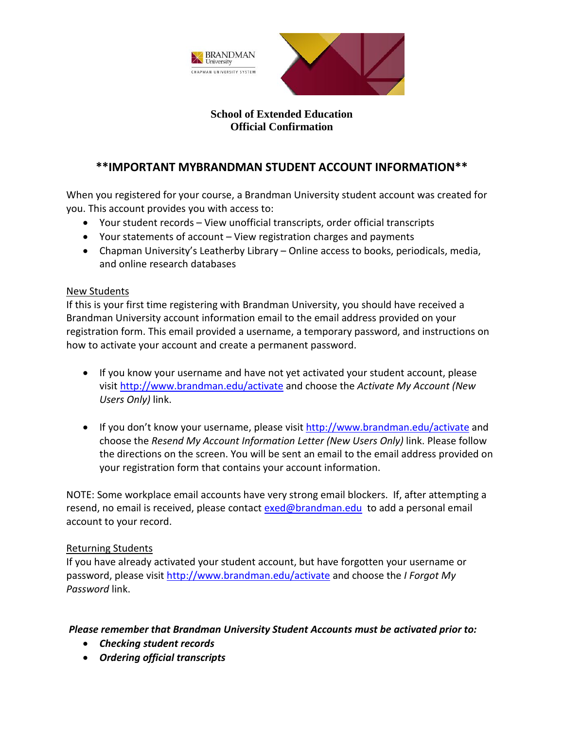



### **School of Extended Education Official Confirmation**

## **\*\*IMPORTANT MYBRANDMAN STUDENT ACCOUNT INFORMATION\*\***

When you registered for your course, a Brandman University student account was created for you. This account provides you with access to:

- Your student records View unofficial transcripts, order official transcripts
- Your statements of account View registration charges and payments
- Chapman University's Leatherby Library Online access to books, periodicals, media, and online research databases

#### New Students

If this is your first time registering with Brandman University, you should have received a Brandman University account information email to the email address provided on your registration form. This email provided a username, a temporary password, and instructions on how to activate your account and create a permanent password.

- If you know your username and have not yet activated your student account, please visit<http://www.brandman.edu/activate> and choose the *Activate My Account (New Users Only)* link.
- If you don't know your username, please visit<http://www.brandman.edu/activate> and choose the *Resend My Account Information Letter (New Users Only)* link. Please follow the directions on the screen. You will be sent an email to the email address provided on your registration form that contains your account information.

NOTE: Some workplace email accounts have very strong email blockers. If, after attempting a resend, no email is received, please contact [exed@brandman.edu](mailto:exed@brandman.edu) to add a personal email account to your record.

### Returning Students

If you have already activated your student account, but have forgotten your username or password, please visit<http://www.brandman.edu/activate> and choose the *I Forgot My Password* link.

### *Please remember that Brandman University Student Accounts must be activated prior to:*

- *Checking student records*
- *Ordering official transcripts*